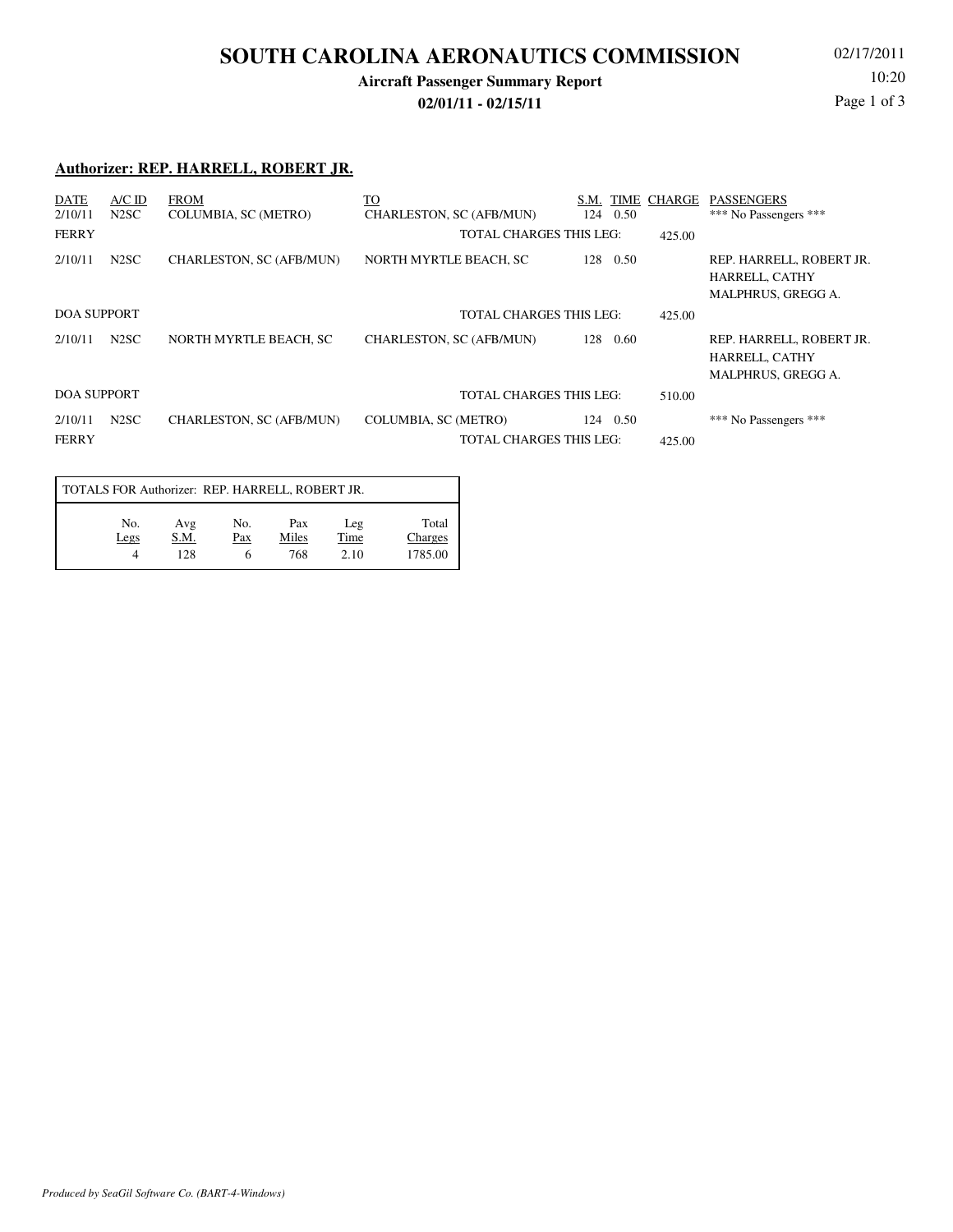## **SOUTH CAROLINA AERONAUTICS COMMISSION**

### **Aircraft Passenger Summary Report**

**02/01/11 - 02/15/11**

02/17/2011 10:20 Page 1 of 3

#### **Authorizer: REP. HARRELL, ROBERT JR.**

| <b>DATE</b><br>2/10/11  | $A/C$ ID<br>N <sub>2</sub> SC                        | <b>FROM</b><br><b>COLUMBIA, SC (METRO)</b> | TO<br>S.M.<br>124<br>CHARLESTON, SC (AFB/MUN)          |             | TIME CHARGE<br>0.50 | <b>PASSENGERS</b><br>*** No Passengers ***                              |
|-------------------------|------------------------------------------------------|--------------------------------------------|--------------------------------------------------------|-------------|---------------------|-------------------------------------------------------------------------|
| <b>FERRY</b>            |                                                      |                                            | TOTAL CHARGES THIS LEG:                                |             | 425.00              |                                                                         |
| 2/10/11                 | N <sub>2</sub> SC                                    | CHARLESTON, SC (AFB/MUN)                   | NORTH MYRTLE BEACH, SC                                 | 128<br>0.50 |                     | REP. HARRELL, ROBERT JR.<br>HARRELL, CATHY<br><b>MALPHRUS, GREGG A.</b> |
|                         | <b>DOA SUPPORT</b><br><b>TOTAL CHARGES THIS LEG:</b> |                                            |                                                        | 425.00      |                     |                                                                         |
| 2/10/11                 | N <sub>2</sub> SC                                    | NORTH MYRTLE BEACH, SC                     | CHARLESTON, SC (AFB/MUN)                               | 128<br>0.60 |                     | REP. HARRELL, ROBERT JR.<br>HARRELL, CATHY<br><b>MALPHRUS, GREGG A.</b> |
|                         | <b>DOA SUPPORT</b><br><b>TOTAL CHARGES THIS LEG:</b> |                                            |                                                        | 510.00      |                     |                                                                         |
| 2/10/11<br><b>FERRY</b> | N <sub>2</sub> SC                                    | CHARLESTON, SC (AFB/MUN)                   | COLUMBIA, SC (METRO)<br><b>TOTAL CHARGES THIS LEG:</b> | 0.50<br>124 | 425.00              | *** No Passengers ***                                                   |

| TOTALS FOR Authorizer: REP. HARRELL, ROBERT JR. |                    |            |                     |                     |                             |  |  |  |  |
|-------------------------------------------------|--------------------|------------|---------------------|---------------------|-----------------------------|--|--|--|--|
| No.<br>Legs<br>Δ                                | Avg<br>S.M.<br>128 | No.<br>Pax | Pax<br>Miles<br>768 | Leg<br>Time<br>2.10 | Total<br>Charges<br>1785.00 |  |  |  |  |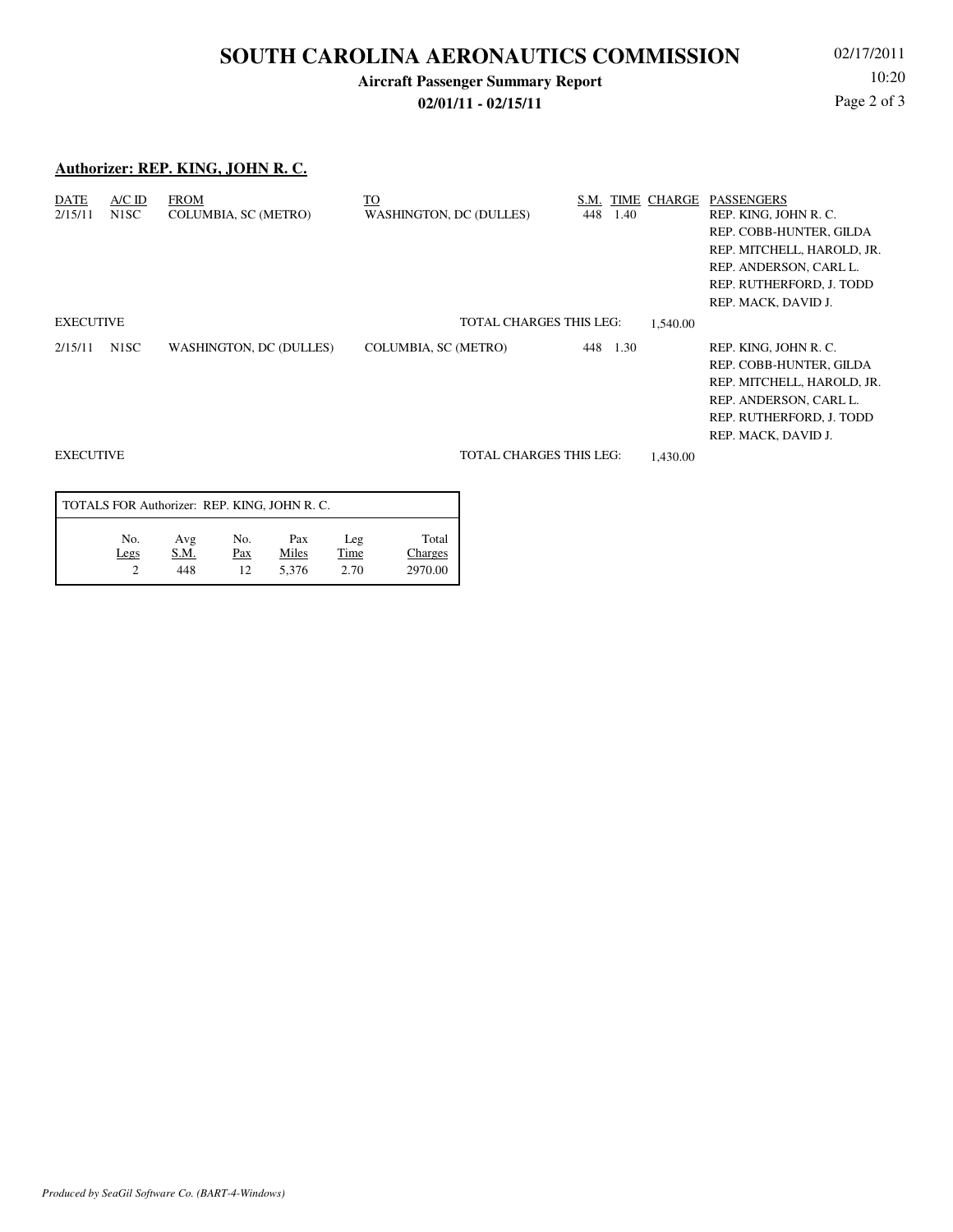## **SOUTH CAROLINA AERONAUTICS COMMISSION**

## **Aircraft Passenger Summary Report**

**02/01/11 - 02/15/11**

02/17/2011 10:20 Page 2 of 3

### **Authorizer: REP. KING, JOHN R. C.**

| DATE<br>2/15/11  | $A/C$ ID<br>N <sub>1</sub> SC | <b>FROM</b><br>COLUMBIA, SC (METRO) | TO<br><b>WASHINGTON, DC (DULLES)</b> | S.M.<br>448 | 1.40 | TIME CHARGE | <b>PASSENGERS</b><br>REP. KING, JOHN R. C.<br>REP. COBB-HUNTER, GILDA<br>REP. MITCHELL, HAROLD, JR.<br>REP. ANDERSON, CARL L.<br>REP. RUTHERFORD, J. TODD<br>REP. MACK, DAVID J. |
|------------------|-------------------------------|-------------------------------------|--------------------------------------|-------------|------|-------------|----------------------------------------------------------------------------------------------------------------------------------------------------------------------------------|
| <b>EXECUTIVE</b> |                               |                                     | <b>TOTAL CHARGES THIS LEG:</b>       |             |      | 1.540.00    |                                                                                                                                                                                  |
| 2/15/11          | N <sub>1</sub> SC             | <b>WASHINGTON, DC (DULLES)</b>      | COLUMBIA, SC (METRO)                 | 448         | 1.30 |             | REP. KING, JOHN R. C.<br>REP. COBB-HUNTER, GILDA<br>REP. MITCHELL, HAROLD, JR.<br>REP. ANDERSON, CARL L.<br>REP. RUTHERFORD, J. TODD<br>REP. MACK, DAVID J.                      |
| <b>EXECUTIVE</b> |                               |                                     | <b>TOTAL CHARGES THIS LEG:</b>       |             |      | 1.430.00    |                                                                                                                                                                                  |

| TOTALS FOR Authorizer: REP. KING, JOHN R.C. |                    |                  |                       |                     |                             |  |  |  |  |
|---------------------------------------------|--------------------|------------------|-----------------------|---------------------|-----------------------------|--|--|--|--|
| No.<br>Legs                                 | Avg<br>S.M.<br>448 | No.<br>Pax<br>12 | Pax<br>Miles<br>5.376 | Leg<br>Time<br>2.70 | Total<br>Charges<br>2970.00 |  |  |  |  |